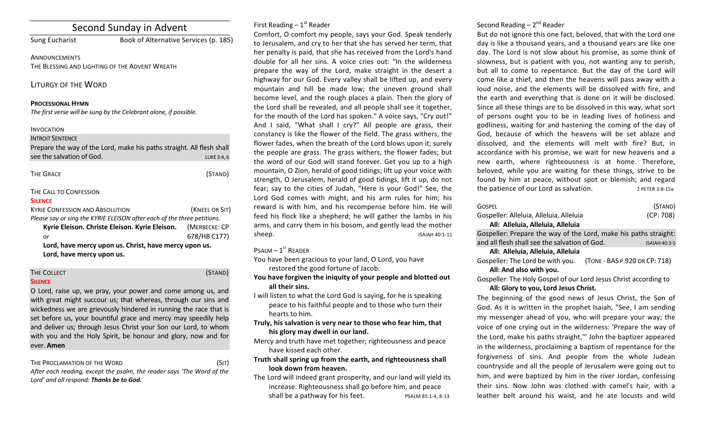# Second Sunday in Advent

Sung Eucharist Book of Alternative Services (p. 185)

**ANNOUNCEMENTS** THE BLESSING AND LIGHTING OF THE ADVENT WREATH

LITURGY OF THE WORD

### **PROCESSIONAL HYMN**

The first verse will be sung by the Celebrant alone, if possible.

### INVOCATION

| <b>INTROIT SENTENCE</b>                                               |            |
|-----------------------------------------------------------------------|------------|
| Prepare the way of the Lord, make his paths straight. All flesh shall |            |
| see the salvation of God.                                             | LUKE 3:4.6 |

| THE GRACE | (STAND) |  |
|-----------|---------|--|
|           |         |  |

### THE CALL TO CONFESSION

### **SILENCE**

| <b>KYRIE CONFESSION AND ABSOLUTION</b>                                  | (KNEEL OR SIT) |  |
|-------------------------------------------------------------------------|----------------|--|
| Please say or sing the KYRIE ELEISON after each of the three petitions. |                |  |
| Kyrie Eleison. Christe Eleison. Kyrie Eleison.                          | (MERBECKE: CP  |  |
| or                                                                      | 678/HB C177)   |  |
| Lord, have mercy upon us. Christ, have mercy upon us.                   |                |  |
| Lord, have mercy upon us.                                               |                |  |

### THE COLLECT **THE COLLECT COLLECT COLLECT COLLECT COLLECT COLLECT COLLECT COLLECT COLLECT COLLECT SILENCE**

O Lord, raise up, we pray, your power and come among us, and with great might succour us; that whereas, through our sins and wickedness we are grievously hindered in running the race that is set before us, your bountiful grace and mercy may speedily help and deliver us; through Jesus Christ your Son our Lord, to whom with you and the Holy Spirit, be honour and glory, now and for ever. **Amen**

### THE PROCLAMATION OF THE WORD (SIT)

After each reading, except the psalm, the reader says 'The Word of the Lord' and all respond: Thanks be to God.

## First Reading  $-1<sup>st</sup>$  Reader

Comfort, O comfort my people, says your God. Speak tenderly to Jerusalem, and cry to her that she has served her term, that her penalty is paid, that she has received from the Lord's hand double for all her sins. A voice cries out: "In the wilderness prepare the way of the Lord, make straight in the desert a highway for our God. Every valley shall be lifted up, and every mountain and hill be made low; the uneven ground shall become level, and the rough places a plain. Then the glory of the Lord shall be revealed, and all people shall see it together, for the mouth of the Lord has spoken." A voice says, "Cry out!" And I said, "What shall I cry?" All people are grass, their constancy is like the flower of the field. The grass withers, the flower fades, when the breath of the Lord blows upon it; surely the people are grass. The grass withers, the flower fades; but the word of our God will stand forever. Get you up to a high mountain, O Zion, herald of good tidings; lift up your voice with strength, O Jerusalem, herald of good tidings, lift it up, do not fear; say to the cities of Judah, "Here is your God!" See, the Lord God comes with might, and his arm rules for him; his reward is with him, and his recompense before him. He will feed his flock like a shepherd; he will gather the lambs in his arms, and carry them in his bosom, and gently lead the mother sheep. **ISAIAH** 40:1-11

 $P$ SALM –  $1<sup>ST</sup>$  READER

You have been gracious to your land, O Lord, you have restored the good fortune of Jacob.

- You have forgiven the iniquity of your people and blotted out **all their sins.**
- I will listen to what the Lord God is saying, for he is speaking peace to his faithful people and to those who turn their hearts to him.
- Truly, his salvation is very near to those who fear him, that his glory may dwell in our land.
- Mercy and truth have met together; righteousness and peace have kissed each other.
- Truth shall spring up from the earth, and righteousness shall **look down from heaven.**
- The Lord will indeed grant prosperity, and our land will yield its increase. Righteousness shall go before him, and peace shall be a pathway for his feet. PSALM 85:1-4, 8-13

# Second Reading  $- 2<sup>nd</sup>$  Reader

But do not ignore this one fact, beloved, that with the Lord one day is like a thousand years, and a thousand years are like one day. The Lord is not slow about his promise, as some think of slowness, but is patient with you, not wanting any to perish, but all to come to repentance. But the day of the Lord will come like a thief, and then the heavens will pass away with a loud noise, and the elements will be dissolved with fire, and the earth and everything that is done on it will be disclosed. Since all these things are to be dissolved in this way, what sort of persons ought you to be in leading lives of holiness and godliness, waiting for and hastening the coming of the day of God, because of which the heavens will be set ablaze and dissolved, and the elements will melt with fire? But, in accordance with his promise, we wait for new heavens and a new earth, where righteousness is at home. Therefore, beloved, while you are waiting for these things, strive to be found by him at peace, without spot or blemish; and regard the patience of our Lord as salvation. 2 PETER 3:8-15a

| GOSPFI                                                            | (STAND)              |
|-------------------------------------------------------------------|----------------------|
| Gospeller: Alleluia, Alleluia, Alleluia                           | (CP: 708)            |
| All: Alleluia, Alleluia, Alleluia                                 |                      |
| Gospeller: Prepare the way of the Lord, make his paths straight:  |                      |
| and all flesh shall see the salvation of God.                     | <b>ISAIAH 40:3-5</b> |
| All: Alleluia, Alleluia, Alleluia                                 |                      |
| (TONE - BAS P.920 OR CP: 718)<br>Gospeller: The Lord be with you. |                      |
| All: And also with you.                                           |                      |

Gospeller: The Holy Gospel of our Lord Jesus Christ according to All: Glory to you, Lord Jesus Christ.

The beginning of the good news of Jesus Christ, the Son of God. As it is written in the prophet Isaiah, "See, I am sending my messenger ahead of you, who will prepare your way; the voice of one crying out in the wilderness: 'Prepare the way of the Lord, make his paths straight," John the baptizer appeared in the wilderness, proclaiming a baptism of repentance for the forgiveness of sins. And people from the whole Judean countryside and all the people of Jerusalem were going out to him, and were baptized by him in the river Jordan, confessing their sins. Now John was clothed with camel's hair, with a leather belt around his waist, and he ate locusts and wild